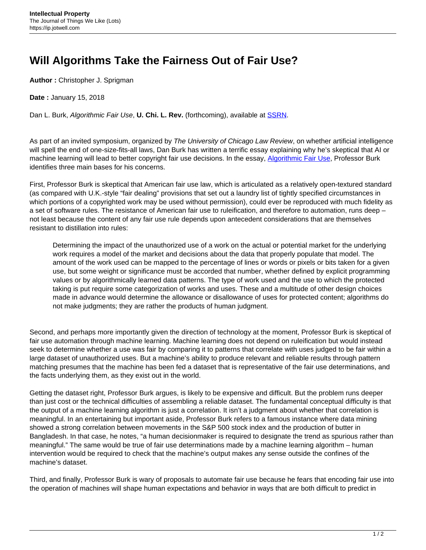## **Will Algorithms Take the Fairness Out of Fair Use?**

**Author :** Christopher J. Sprigman

**Date :** January 15, 2018

Dan L. Burk, Algorithmic Fair Use, **U. Chi. L. Rev.** (forthcoming), available at [SSRN](https://ssrn.com/abstract=3076139).

As part of an invited symposium, organized by The University of Chicago Law Review, on whether artificial intelligence will spell the end of one-size-fits-all laws, Dan Burk has written a terrific essay explaining why he's skeptical that AI or machine learning will lead to better copyright fair use decisions. In the essay, [Algorithmic Fair Use,](https://ssrn.com/abstract=3076139) Professor Burk identifies three main bases for his concerns.

First, Professor Burk is skeptical that American fair use law, which is articulated as a relatively open-textured standard (as compared with U.K.-style "fair dealing" provisions that set out a laundry list of tightly specified circumstances in which portions of a copyrighted work may be used without permission), could ever be reproduced with much fidelity as a set of software rules. The resistance of American fair use to ruleification, and therefore to automation, runs deep – not least because the content of any fair use rule depends upon antecedent considerations that are themselves resistant to distillation into rules:

Determining the impact of the unauthorized use of a work on the actual or potential market for the underlying work requires a model of the market and decisions about the data that properly populate that model. The amount of the work used can be mapped to the percentage of lines or words or pixels or bits taken for a given use, but some weight or significance must be accorded that number, whether defined by explicit programming values or by algorithmically learned data patterns. The type of work used and the use to which the protected taking is put require some categorization of works and uses. These and a multitude of other design choices made in advance would determine the allowance or disallowance of uses for protected content; algorithms do not make judgments; they are rather the products of human judgment.

Second, and perhaps more importantly given the direction of technology at the moment, Professor Burk is skeptical of fair use automation through machine learning. Machine learning does not depend on ruleification but would instead seek to determine whether a use was fair by comparing it to patterns that correlate with uses judged to be fair within a large dataset of unauthorized uses. But a machine's ability to produce relevant and reliable results through pattern matching presumes that the machine has been fed a dataset that is representative of the fair use determinations, and the facts underlying them, as they exist out in the world.

Getting the dataset right, Professor Burk argues, is likely to be expensive and difficult. But the problem runs deeper than just cost or the technical difficulties of assembling a reliable dataset. The fundamental conceptual difficulty is that the output of a machine learning algorithm is just a correlation. It isn't a judgment about whether that correlation is meaningful. In an entertaining but important aside, Professor Burk refers to a famous instance where data mining showed a strong correlation between movements in the S&P 500 stock index and the production of butter in Bangladesh. In that case, he notes, "a human decisionmaker is required to designate the trend as spurious rather than meaningful." The same would be true of fair use determinations made by a machine learning algorithm – human intervention would be required to check that the machine's output makes any sense outside the confines of the machine's dataset.

Third, and finally, Professor Burk is wary of proposals to automate fair use because he fears that encoding fair use into the operation of machines will shape human expectations and behavior in ways that are both difficult to predict in